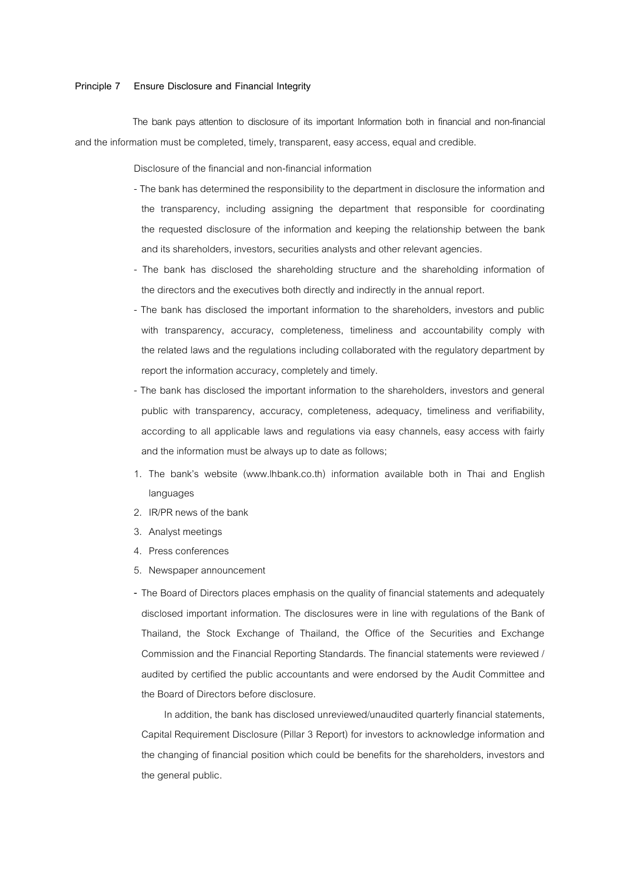## **Principle 7 Ensure Disclosure and Financial Integrity**

 The bank pays attention to disclosure of its important Information both in financial and non-financial and the information must be completed, timely, transparent, easy access, equal and credible.

Disclosure of the financial and non-financial information

- The bank has determined the responsibility to the department in disclosure the information and the transparency, including assigning the department that responsible for coordinating the requested disclosure of the information and keeping the relationship between the bank and its shareholders, investors, securities analysts and other relevant agencies.
- The bank has disclosed the shareholding structure and the shareholding information of the directors and the executives both directly and indirectly in the annual report.
- The bank has disclosed the important information to the shareholders, investors and public with transparency, accuracy, completeness, timeliness and accountability comply with the related laws and the regulations including collaborated with the regulatory department by report the information accuracy, completely and timely.
- The bank has disclosed the important information to the shareholders, investors and general public with transparency, accuracy, completeness, adequacy, timeliness and verifiability, according to all applicable laws and regulations via easy channels, easy access with fairly and the information must be always up to date as follows;
- 1. The bank's website (www.lhbank.co.th) information available both in Thai and English languages
- 2. IR/PR news of the bank
- 3. Analyst meetings
- 4. Press conferences
- 5. Newspaper announcement
- **-** The Board of Directors places emphasis on the quality of financial statements and adequately disclosed important information. The disclosures were in line with regulations of the Bank of Thailand, the Stock Exchange of Thailand, the Office of the Securities and Exchange Commission and the Financial Reporting Standards. The financial statements were reviewed / audited by certified the public accountants and were endorsed by the Audit Committee and the Board of Directors before disclosure.

In addition, the bank has disclosed unreviewed/unaudited quarterly financial statements, Capital Requirement Disclosure (Pillar 3 Report) for investors to acknowledge information and the changing of financial position which could be benefits for the shareholders, investors and the general public.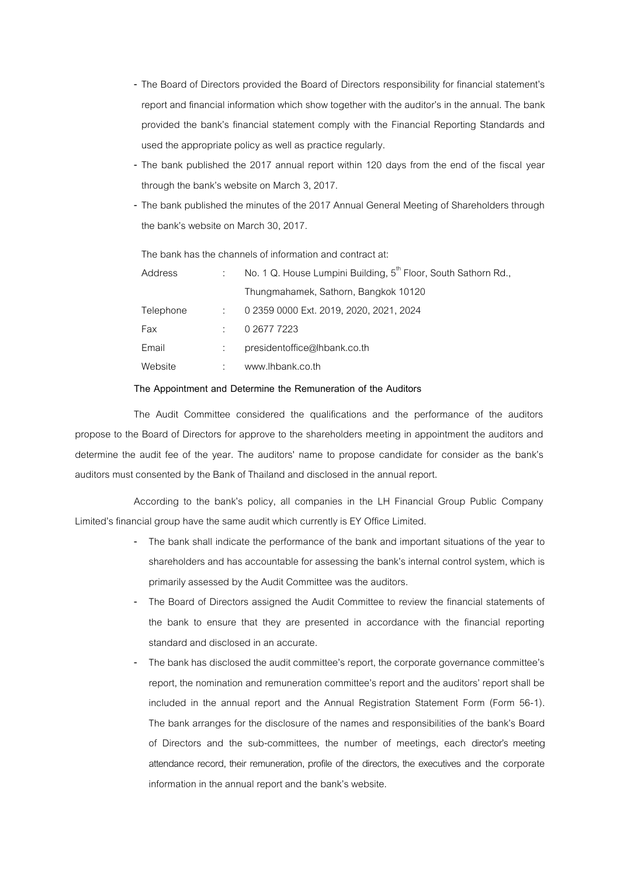- **-** The Board of Directors provided the Board of Directors responsibility for financial statement's report and financial information which show together with the auditor's in the annual. The bank provided the bank's financial statement comply with the Financial Reporting Standards and used the appropriate policy as well as practice regularly.
- **-** The bank published the 2017 annual report within 120 days from the end of the fiscal year through the bank's website on March 3, 2017.
- **-** The bank published the minutes of the 2017 Annual General Meeting of Shareholders through the bank's website on March 30, 2017.

The bank has the channels of information and contract at:

| Address   | No. 1 Q. House Lumpini Building, 5 <sup>th</sup> Floor, South Sathorn Rd., |
|-----------|----------------------------------------------------------------------------|
|           | Thungmahamek, Sathorn, Bangkok 10120                                       |
| Telephone | 0 2359 0000 Ext. 2019, 2020, 2021, 2024                                    |
| Fax       | 0 2677 7223                                                                |
| Email     | presidentoffice@lhbank.co.th                                               |
| Website   | www.lhbank.co.th                                                           |

## **The Appointment and Determine the Remuneration of the Auditors**

The Audit Committee considered the qualifications and the performance of the auditors propose to the Board of Directors for approve to the shareholders meeting in appointment the auditors and determine the audit fee of the year. The auditors' name to propose candidate for consider as the bank's auditors must consented by the Bank of Thailand and disclosed in the annual report.

According to the bank's policy, all companies in the LH Financial Group Public Company Limited's financial group have the same audit which currently is EY Office Limited.

- **-** The bank shall indicate the performance of the bank and important situations of the year to shareholders and has accountable for assessing the bank's internal control system, which is primarily assessed by the Audit Committee was the auditors.
- **-** The Board of Directors assigned the Audit Committee to review the financial statements of the bank to ensure that they are presented in accordance with the financial reporting standard and disclosed in an accurate.
- The bank has disclosed the audit committee's report, the corporate governance committee's report, the nomination and remuneration committee's report and the auditors' report shall be included in the annual report and the Annual Registration Statement Form (Form 56-1). The bank arranges for the disclosure of the names and responsibilities of the bank's Board of Directors and the sub-committees, the number of meetings, each director's meeting attendance record, their remuneration, profile of the directors, the executives and the corporate information in the annual report and the bank's website.